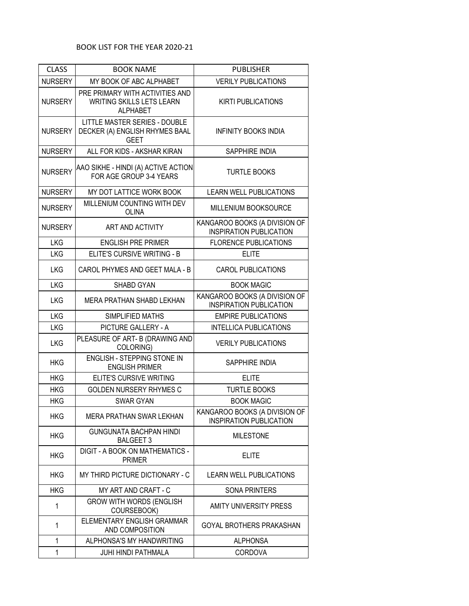| <b>CLASS</b>   | <b>BOOK NAME</b>                                                                       | <b>PUBLISHER</b>                                                |
|----------------|----------------------------------------------------------------------------------------|-----------------------------------------------------------------|
| <b>NURSERY</b> | MY BOOK OF ABC ALPHABET                                                                | <b>VERILY PUBLICATIONS</b>                                      |
| <b>NURSERY</b> | PRE PRIMARY WITH ACTIVITIES AND<br><b>WRITING SKILLS LETS LEARN</b><br><b>ALPHABET</b> | <b>KIRTI PUBLICATIONS</b>                                       |
| <b>NURSERY</b> | <b>LITTLE MASTER SERIES - DOUBLE</b><br>DECKER (A) ENGLISH RHYMES BAAL<br><b>GEET</b>  | <b>INFINITY BOOKS INDIA</b>                                     |
| <b>NURSERY</b> | ALL FOR KIDS - AKSHAR KIRAN                                                            | <b>SAPPHIRE INDIA</b>                                           |
| <b>NURSERY</b> | AAO SIKHE - HINDI (A) ACTIVE ACTION<br>FOR AGE GROUP 3-4 YEARS                         | <b>TURTLE BOOKS</b>                                             |
| <b>NURSERY</b> | MY DOT LATTICE WORK BOOK                                                               | <b>LEARN WELL PUBLICATIONS</b>                                  |
| <b>NURSERY</b> | MILLENIUM COUNTING WITH DEV<br><b>OLINA</b>                                            | MILLENIUM BOOKSOURCE                                            |
| <b>NURSERY</b> | ART AND ACTIVITY                                                                       | KANGAROO BOOKS (A DIVISION OF<br><b>INSPIRATION PUBLICATION</b> |
| <b>LKG</b>     | <b>ENGLISH PRE PRIMER</b>                                                              | <b>FLORENCE PUBLICATIONS</b>                                    |
| <b>LKG</b>     | ELITE'S CURSIVE WRITING - B                                                            | <b>ELITE</b>                                                    |
| <b>LKG</b>     | CAROL PHYMES AND GEET MALA - B                                                         | <b>CAROL PUBLICATIONS</b>                                       |
| <b>LKG</b>     | <b>SHABD GYAN</b>                                                                      | <b>BOOK MAGIC</b>                                               |
| <b>LKG</b>     | MERA PRATHAN SHABD LEKHAN                                                              | KANGAROO BOOKS (A DIVISION OF<br><b>INSPIRATION PUBLICATION</b> |
| <b>LKG</b>     | SIMPLIFIED MATHS                                                                       | <b>EMPIRE PUBLICATIONS</b>                                      |
| <b>LKG</b>     | PICTURE GALLERY - A                                                                    | <b>INTELLICA PUBLICATIONS</b>                                   |
| <b>LKG</b>     | PLEASURE OF ART- B (DRAWING AND<br>COLORING)                                           | <b>VERILY PUBLICATIONS</b>                                      |
| <b>HKG</b>     | ENGLISH - STEPPING STONE IN<br><b>ENGLISH PRIMER</b>                                   | SAPPHIRE INDIA                                                  |
| <b>HKG</b>     | ELITE'S CURSIVE WRITING                                                                | <b>ELITE</b>                                                    |
| <b>HKG</b>     | <b>GOLDEN NURSERY RHYMES C</b>                                                         | <b>TURTLE BOOKS</b>                                             |
| <b>HKG</b>     | <b>SWAR GYAN</b>                                                                       | <b>BOOK MAGIC</b>                                               |
| <b>HKG</b>     | <b>MERA PRATHAN SWAR LEKHAN</b>                                                        | KANGAROO BOOKS (A DIVISION OF<br><b>INSPIRATION PUBLICATION</b> |
| <b>HKG</b>     | <b>GUNGUNATA BACHPAN HINDI</b><br><b>BALGEET 3</b>                                     | <b>MILESTONE</b>                                                |
| <b>HKG</b>     | DIGIT - A BOOK ON MATHEMATICS -<br><b>PRIMER</b>                                       | <b>ELITE</b>                                                    |
| <b>HKG</b>     | MY THIRD PICTURE DICTIONARY - C                                                        | <b>LEARN WELL PUBLICATIONS</b>                                  |
| <b>HKG</b>     | MY ART AND CRAFT - C                                                                   | <b>SONA PRINTERS</b>                                            |
| 1              | <b>GROW WITH WORDS (ENGLISH</b><br>COURSEBOOK)                                         | AMITY UNIVERSITY PRESS                                          |
| 1              | ELEMENTARY ENGLISH GRAMMAR<br>AND COMPOSITION                                          | <b>GOYAL BROTHERS PRAKASHAN</b>                                 |
| 1              | ALPHONSA'S MY HANDWRITING                                                              | <b>ALPHONSA</b>                                                 |
| 1              | <b>JUHI HINDI PATHMALA</b>                                                             | <b>CORDOVA</b>                                                  |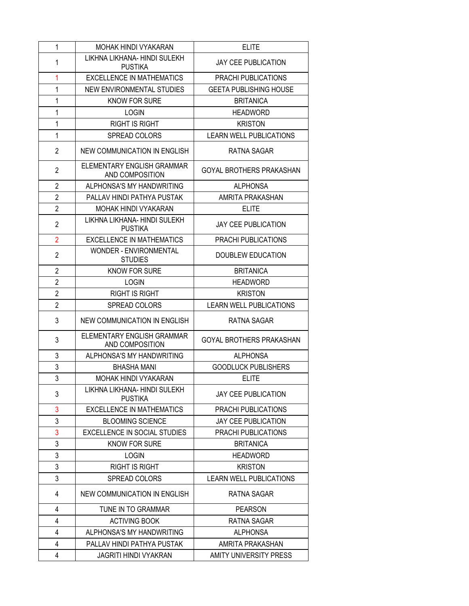| 1              | MOHAK HINDI VYAKARAN                            | <b>ELITE</b>                    |
|----------------|-------------------------------------------------|---------------------------------|
| 1              | LIKHNA LIKHANA- HINDI SULEKH<br><b>PUSTIKA</b>  | <b>JAY CEE PUBLICATION</b>      |
| 1              | <b>EXCELLENCE IN MATHEMATICS</b>                | PRACHI PUBLICATIONS             |
| 1              | NEW ENVIRONMENTAL STUDIES                       | <b>GEETA PUBLISHING HOUSE</b>   |
| 1              | <b>KNOW FOR SURE</b>                            | <b>BRITANICA</b>                |
| 1              | <b>LOGIN</b>                                    | <b>HEADWORD</b>                 |
| 1              | <b>RIGHT IS RIGHT</b>                           | <b>KRISTON</b>                  |
| 1              | <b>SPREAD COLORS</b>                            | <b>LEARN WELL PUBLICATIONS</b>  |
| $\overline{c}$ | NEW COMMUNICATION IN ENGLISH                    | RATNA SAGAR                     |
| $\overline{2}$ | ELEMENTARY ENGLISH GRAMMAR<br>AND COMPOSITION   | <b>GOYAL BROTHERS PRAKASHAN</b> |
| $\overline{2}$ | ALPHONSA'S MY HANDWRITING                       | <b>ALPHONSA</b>                 |
| $\overline{2}$ | PALLAV HINDI PATHYA PUSTAK                      | AMRITA PRAKASHAN                |
| $\overline{2}$ | MOHAK HINDI VYAKARAN                            | <b>ELITE</b>                    |
| $\overline{2}$ | LIKHNA LIKHANA- HINDI SULEKH<br><b>PUSTIKA</b>  | <b>JAY CEE PUBLICATION</b>      |
| $\overline{2}$ | EXCELLENCE IN MATHEMATICS                       | PRACHI PUBLICATIONS             |
| $\overline{2}$ | <b>WONDER - ENVIRONMENTAL</b><br><b>STUDIES</b> | <b>DOUBLEW EDUCATION</b>        |
| $\overline{2}$ | <b>KNOW FOR SURE</b>                            | <b>BRITANICA</b>                |
| $\overline{2}$ | <b>LOGIN</b>                                    | <b>HEADWORD</b>                 |
| $\overline{2}$ | <b>RIGHT IS RIGHT</b>                           | <b>KRISTON</b>                  |
| $\overline{2}$ | <b>SPREAD COLORS</b>                            | <b>LEARN WELL PUBLICATIONS</b>  |
| 3              | NEW COMMUNICATION IN ENGLISH                    | RATNA SAGAR                     |
| 3              | ELEMENTARY ENGLISH GRAMMAR<br>AND COMPOSITION   | <b>GOYAL BROTHERS PRAKASHAN</b> |
| 3              | ALPHONSA'S MY HANDWRITING                       | <b>ALPHONSA</b>                 |
| 3              | <b>BHASHA MANI</b>                              | <b>GOODLUCK PUBLISHERS</b>      |
| 3              | <b>MOHAK HINDI VYAKARAN</b>                     | <b>ELITE</b>                    |
| 3              | LIKHNA LIKHANA- HINDI SULEKH<br><b>PUSTIKA</b>  | <b>JAY CEE PUBLICATION</b>      |
| 3              | <b>EXCELLENCE IN MATHEMATICS</b>                | PRACHI PUBLICATIONS             |
| 3              | <b>BLOOMING SCIENCE</b>                         | <b>JAY CEE PUBLICATION</b>      |
| 3              | <b>EXCELLENCE IN SOCIAL STUDIES</b>             | PRACHI PUBLICATIONS             |
| 3              | KNOW FOR SURE                                   | <b>BRITANICA</b>                |
| 3              | <b>LOGIN</b>                                    | <b>HEADWORD</b>                 |
| 3              | <b>RIGHT IS RIGHT</b>                           | <b>KRISTON</b>                  |
| 3              | SPREAD COLORS                                   | <b>LEARN WELL PUBLICATIONS</b>  |
| 4              | NEW COMMUNICATION IN ENGLISH                    | RATNA SAGAR                     |
| 4              | TUNE IN TO GRAMMAR                              | <b>PEARSON</b>                  |
| 4              | <b>ACTIVING BOOK</b>                            | RATNA SAGAR                     |
| 4              | ALPHONSA'S MY HANDWRITING                       | <b>ALPHONSA</b>                 |
| 4              | PALLAV HINDI PATHYA PUSTAK                      | AMRITA PRAKASHAN                |
| 4              | <b>JAGRITI HINDI VYAKRAN</b>                    | AMITY UNIVERSITY PRESS          |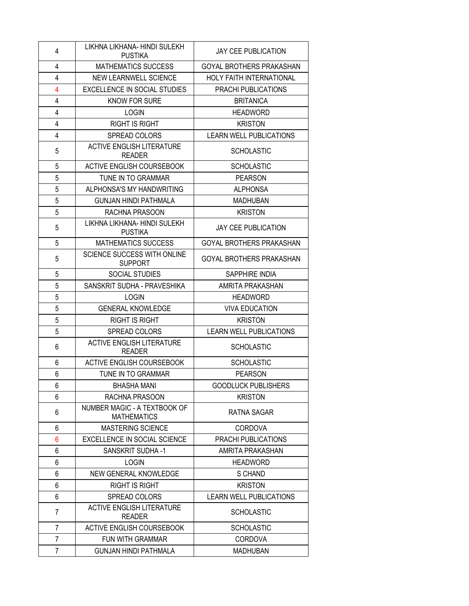| 4              | LIKHNA LIKHANA- HINDI SULEKH                       | <b>JAY CEE PUBLICATION</b>      |
|----------------|----------------------------------------------------|---------------------------------|
|                | <b>PUSTIKA</b>                                     |                                 |
| 4              | <b>MATHEMATICS SUCCESS</b>                         | GOYAL BROTHERS PRAKASHAN        |
| $\overline{4}$ | <b>NEW LEARNWELL SCIENCE</b>                       | <b>HOLY FAITH INTERNATIONAL</b> |
| 4              | <b>EXCELLENCE IN SOCIAL STUDIES</b>                | PRACHI PUBLICATIONS             |
| 4              | <b>KNOW FOR SURE</b>                               | <b>BRITANICA</b>                |
| $\overline{4}$ | <b>LOGIN</b>                                       | <b>HEADWORD</b>                 |
| $\overline{4}$ | <b>RIGHT IS RIGHT</b>                              | <b>KRISTON</b>                  |
| 4              | SPREAD COLORS                                      | <b>LEARN WELL PUBLICATIONS</b>  |
| 5              | <b>ACTIVE ENGLISH LITERATURE</b><br><b>READER</b>  | <b>SCHOLASTIC</b>               |
| 5              | <b>ACTIVE ENGLISH COURSEBOOK</b>                   | <b>SCHOLASTIC</b>               |
| 5              | TUNE IN TO GRAMMAR                                 | <b>PEARSON</b>                  |
| 5              | ALPHONSA'S MY HANDWRITING                          | <b>ALPHONSA</b>                 |
| 5              | <b>GUNJAN HINDI PATHMALA</b>                       | <b>MADHUBAN</b>                 |
| 5              | RACHNA PRASOON                                     | <b>KRISTON</b>                  |
| 5              | LIKHNA LIKHANA- HINDI SULEKH<br><b>PUSTIKA</b>     | <b>JAY CEE PUBLICATION</b>      |
| 5              | <b>MATHEMATICS SUCCESS</b>                         | GOYAL BROTHERS PRAKASHAN        |
| 5              | SCIENCE SUCCESS WITH ONLINE<br><b>SUPPORT</b>      | GOYAL BROTHERS PRAKASHAN        |
| 5              | <b>SOCIAL STUDIES</b>                              | SAPPHIRE INDIA                  |
| 5              | SANSKRIT SUDHA - PRAVESHIKA                        | AMRITA PRAKASHAN                |
| 5              | <b>LOGIN</b>                                       | <b>HEADWORD</b>                 |
| 5              | <b>GENERAL KNOWLEDGE</b>                           | <b>VIVA EDUCATION</b>           |
| 5              | <b>RIGHT IS RIGHT</b>                              | <b>KRISTON</b>                  |
| 5              | SPREAD COLORS                                      | <b>LEARN WELL PUBLICATIONS</b>  |
| 6              | <b>ACTIVE ENGLISH LITERATURE</b><br><b>READER</b>  | <b>SCHOLASTIC</b>               |
| 6              | ACTIVE ENGLISH COURSEBOOK                          | <b>SCHOLASTIC</b>               |
| 6              | TUNE IN TO GRAMMAR                                 | <b>PEARSON</b>                  |
| 6              | <b>BHASHA MANI</b>                                 | <b>GOODLUCK PUBLISHERS</b>      |
| 6              | RACHNA PRASOON                                     | <b>KRISTON</b>                  |
| 6              | NUMBER MAGIC - A TEXTBOOK OF<br><b>MATHEMATICS</b> | RATNA SAGAR                     |
| 6              | <b>MASTERING SCIENCE</b>                           | <b>CORDOVA</b>                  |
| 6              | EXCELLENCE IN SOCIAL SCIENCE                       | PRACHI PUBLICATIONS             |
| 6              | SANSKRIT SUDHA-1                                   | AMRITA PRAKASHAN                |
| 6              | <b>LOGIN</b>                                       | <b>HEADWORD</b>                 |
| 6              | NEW GENERAL KNOWLEDGE                              | S CHAND                         |
| 6              | <b>RIGHT IS RIGHT</b>                              | <b>KRISTON</b>                  |
| 6              | SPREAD COLORS                                      | <b>LEARN WELL PUBLICATIONS</b>  |
| 7              | <b>ACTIVE ENGLISH LITERATURE</b><br><b>READER</b>  | <b>SCHOLASTIC</b>               |
| 7              | <b>ACTIVE ENGLISH COURSEBOOK</b>                   | <b>SCHOLASTIC</b>               |
| 7              | FUN WITH GRAMMAR                                   | <b>CORDOVA</b>                  |
| 7              | <b>GUNJAN HINDI PATHMALA</b>                       | <b>MADHUBAN</b>                 |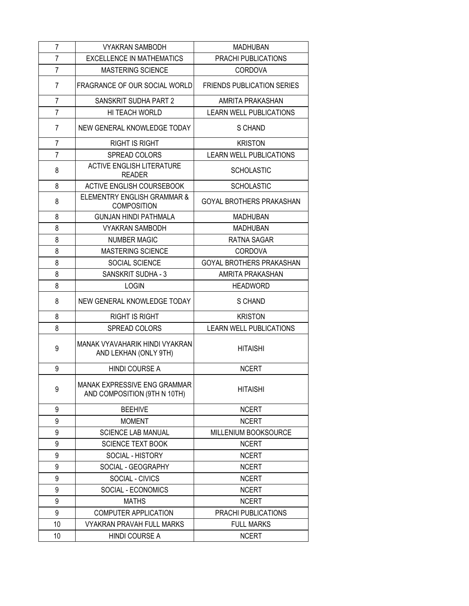| 7              | <b>VYAKRAN SAMBODH</b>                                       | <b>MADHUBAN</b>                   |
|----------------|--------------------------------------------------------------|-----------------------------------|
| 7              | <b>EXCELLENCE IN MATHEMATICS</b>                             | PRACHI PUBLICATIONS               |
| 7              | <b>MASTERING SCIENCE</b>                                     | <b>CORDOVA</b>                    |
| 7              | FRAGRANCE OF OUR SOCIAL WORLD                                | <b>FRIENDS PUBLICATION SERIES</b> |
| 7              | SANSKRIT SUDHA PART 2                                        | AMRITA PRAKASHAN                  |
| $\overline{7}$ | HI TEACH WORLD                                               | <b>LEARN WELL PUBLICATIONS</b>    |
| $\overline{7}$ | NEW GENERAL KNOWLEDGE TODAY                                  | S CHAND                           |
| 7              | <b>RIGHT IS RIGHT</b>                                        | <b>KRISTON</b>                    |
| 7              | SPREAD COLORS                                                | <b>LEARN WELL PUBLICATIONS</b>    |
| 8              | <b>ACTIVE ENGLISH LITERATURE</b><br><b>READER</b>            | <b>SCHOLASTIC</b>                 |
| 8              | ACTIVE ENGLISH COURSEBOOK                                    | <b>SCHOLASTIC</b>                 |
| 8              | ELEMENTRY ENGLISH GRAMMAR &<br><b>COMPOSITION</b>            | <b>GOYAL BROTHERS PRAKASHAN</b>   |
| 8              | <b>GUNJAN HINDI PATHMALA</b>                                 | <b>MADHUBAN</b>                   |
| 8              | <b>VYAKRAN SAMBODH</b>                                       | <b>MADHUBAN</b>                   |
| 8              | <b>NUMBER MAGIC</b>                                          | RATNA SAGAR                       |
| 8              | MASTERING SCIENCE                                            | <b>CORDOVA</b>                    |
| 8              | SOCIAL SCIENCE                                               | <b>GOYAL BROTHERS PRAKASHAN</b>   |
| 8              | <b>SANSKRIT SUDHA - 3</b>                                    | AMRITA PRAKASHAN                  |
| 8              | <b>LOGIN</b>                                                 | <b>HEADWORD</b>                   |
| 8              | NEW GENERAL KNOWLEDGE TODAY                                  | S CHAND                           |
| 8              | <b>RIGHT IS RIGHT</b>                                        | <b>KRISTON</b>                    |
| 8              | SPREAD COLORS                                                | <b>LEARN WELL PUBLICATIONS</b>    |
| 9              | MANAK VYAVAHARIK HINDI VYAKRAN<br>AND LEKHAN (ONLY 9TH)      | <b>HITAISHI</b>                   |
| 9              | <b>HINDI COURSE A</b>                                        | <b>NCERT</b>                      |
| 9              | MANAK EXPRESSIVE ENG GRAMMAR<br>AND COMPOSITION (9TH N 10TH) | <b>HITAISHI</b>                   |
| 9              | <b>BEEHIVE</b>                                               | <b>NCERT</b>                      |
| 9              | <b>MOMENT</b>                                                | <b>NCERT</b>                      |
| 9              | <b>SCIENCE LAB MANUAL</b>                                    | MILLENIUM BOOKSOURCE              |
| 9              | <b>SCIENCE TEXT BOOK</b>                                     | <b>NCERT</b>                      |
| 9              | SOCIAL - HISTORY                                             | <b>NCERT</b>                      |
| 9              | SOCIAL - GEOGRAPHY                                           | <b>NCERT</b>                      |
| 9              | SOCIAL - CIVICS                                              | <b>NCERT</b>                      |
| 9              | SOCIAL - ECONOMICS                                           | <b>NCERT</b>                      |
| 9              | <b>MATHS</b>                                                 | <b>NCERT</b>                      |
| 9              | COMPUTER APPLICATION                                         | PRACHI PUBLICATIONS               |
| 10             | <b>VYAKRAN PRAVAH FULL MARKS</b>                             | <b>FULL MARKS</b>                 |
| 10             | HINDI COURSE A                                               | <b>NCERT</b>                      |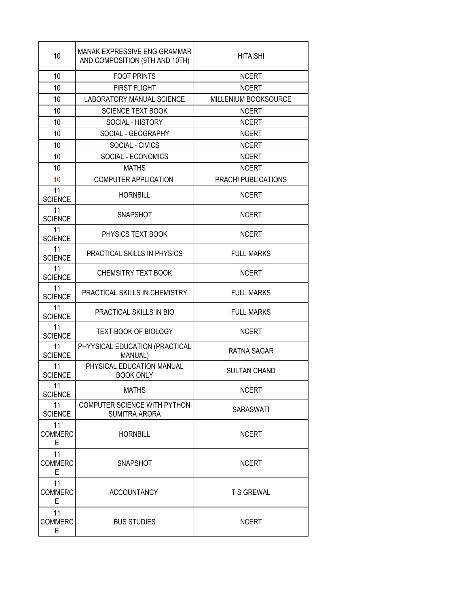| 10                        | MANAK EXPRESSIVE ENG GRAMMAR<br>AND COMPOSITION (9TH AND 10TH) | <b>HITAISHI</b>      |
|---------------------------|----------------------------------------------------------------|----------------------|
| 10                        | <b>FOOT PRINTS</b>                                             | <b>NCERT</b>         |
| 10                        | <b>FIRST FLIGHT</b>                                            | <b>NCERT</b>         |
| 10                        | <b>LABORATORY MANUAL SCIENCE</b>                               | MILLENIUM BOOKSOURCE |
| 10                        | <b>SCIENCE TEXT BOOK</b>                                       | <b>NCERT</b>         |
| 10                        | SOCIAL - HISTORY                                               | <b>NCERT</b>         |
| 10                        | SOCIAL - GEOGRAPHY                                             | <b>NCERT</b>         |
| 10                        | SOCIAL - CIVICS                                                | <b>NCERT</b>         |
| 10                        | SOCIAL - ECONOMICS                                             | <b>NCERT</b>         |
| 10                        | <b>MATHS</b>                                                   | <b>NCERT</b>         |
| 10                        | <b>COMPUTER APPLICATION</b>                                    | PRACHI PUBLICATIONS  |
| 11<br><b>SCIENCE</b>      | <b>HORNBILL</b>                                                | <b>NCERT</b>         |
| 11<br><b>SCIENCE</b>      | <b>SNAPSHOT</b>                                                | <b>NCERT</b>         |
| 11<br><b>SCIENCE</b>      | PHYSICS TEXT BOOK                                              | <b>NCERT</b>         |
| 11<br><b>SCIENCE</b>      | PRACTICAL SKILLS IN PHYSICS                                    | <b>FULL MARKS</b>    |
| 11<br><b>SCIENCE</b>      | <b>CHEMSITRY TEXT BOOK</b>                                     | <b>NCERT</b>         |
| 11<br><b>SCIENCE</b>      | PRACTICAL SKILLS IN CHEMISTRY                                  | <b>FULL MARKS</b>    |
| 11<br><b>SCIENCE</b>      | PRACTICAL SKILLS IN BIO                                        | <b>FULL MARKS</b>    |
| 11<br><b>SCIENCE</b>      | <b>TEXT BOOK OF BIOLOGY</b>                                    | <b>NCERT</b>         |
| 11<br><b>SCIENCE</b>      | PHYYSICAL EDUCATION (PRACTICAL<br>MANUAL)                      | <b>RATNA SAGAR</b>   |
| 11<br><b>SCIENCE</b>      | PHYSICAL EDUCATION MANUAL<br><b>BOOK ONLY</b>                  | <b>SULTAN CHAND</b>  |
| 11<br><b>SCIENCE</b>      | <b>MATHS</b>                                                   | <b>NCERT</b>         |
| 11<br><b>SCIENCE</b>      | COMPUTER SCIENCE WITH PYTHON<br>SUMITRA ARORA                  | SARASWATI            |
| 11<br><b>COMMERC</b><br>Е | <b>HORNBILL</b>                                                | <b>NCERT</b>         |
| 11<br><b>COMMERC</b><br>Е | <b>SNAPSHOT</b>                                                | <b>NCERT</b>         |
| 11<br><b>COMMERC</b><br>E | <b>ACCOUNTANCY</b>                                             | <b>T S GREWAL</b>    |
| 11<br><b>COMMERC</b><br>E | <b>BUS STUDIES</b>                                             | <b>NCERT</b>         |